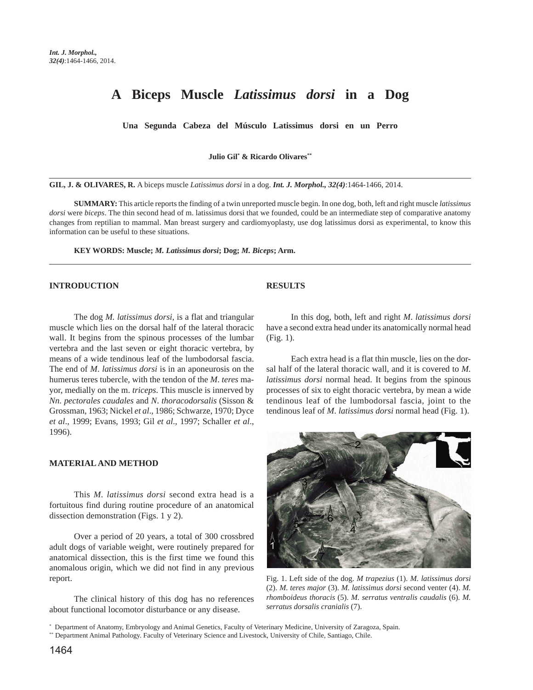# **A Biceps Muscle** *Latissimus dorsi* **in a Dog**

**Una Segunda Cabeza del Músculo Latissimus dorsi en un Perro**

**Julio Gil\* & Ricardo Olivares\*\***

**GIL, J. & OLIVARES, R.** A biceps muscle *Latissimus dorsi* in a dog. *Int. J. Morphol., 32(4)*:1464-1466, 2014.

**SUMMARY:** This article reports the finding of a twin unreported muscle begin. In one dog, both, left and right muscle *latissimus dorsi* were *biceps*. The thin second head of m. latissimus dorsi that we founded, could be an intermediate step of comparative anatomy changes from reptilian to mammal. Man breast surgery and cardiomyoplasty, use dog latissimus dorsi as experimental, to know this information can be useful to these situations.

**KEY WORDS: Muscle;** *M. Latissimus dorsi***; Dog;** *M. Biceps***; Arm.**

#### **INTRODUCTION**

The dog *M. latissimus dorsi*, is a flat and triangular muscle which lies on the dorsal half of the lateral thoracic wall. It begins from the spinous processes of the lumbar vertebra and the last seven or eight thoracic vertebra, by means of a wide tendinous leaf of the lumbodorsal fascia. The end of *M*. *latissimus dorsi* is in an aponeurosis on the humerus teres tubercle, with the tendon of the *M*. *teres* mayor, medially on the m. *triceps*. This muscle is innerved by *Nn*. *pectorales caudales* and *N*. *thoracodorsalis* (Sisson & Grossman, 1963; Nickel *et al*., 1986; Schwarze, 1970; Dyce *et al*., 1999; Evans, 1993; Gil *et al*., 1997; Schaller *et al*., 1996).

#### **MATERIAL AND METHOD**

This *M. latissimus dorsi* second extra head is a fortuitous find during routine procedure of an anatomical dissection demonstration (Figs. 1 y 2).

Over a period of 20 years, a total of 300 crossbred adult dogs of variable weight, were routinely prepared for anatomical dissection, this is the first time we found this anomalous origin, which we did not find in any previous report.

The clinical history of this dog has no references about functional locomotor disturbance or any disease.

### **RESULTS**

In this dog, both, left and right *M*. *latissimus dorsi* have a second extra head under its anatomically normal head (Fig. 1).

Each extra head is a flat thin muscle, lies on the dorsal half of the lateral thoracic wall, and it is covered to *M. latissimus dorsi* normal head. It begins from the spinous processes of six to eight thoracic vertebra, by mean a wide tendinous leaf of the lumbodorsal fascia, joint to the tendinous leaf of *M*. *latissimus dorsi* normal head (Fig. 1).



Fig. 1. Left side of the dog. *M trapezius* (1). *M. latissimus dorsi* (2). *M. teres major* (3). *M. latissimus dorsi* second venter (4). *M. rhomboideus thoracis* (5). *M. serratus ventralis caudalis* (6). *M. serratus dorsalis cranialis* (7).

<sup>\*</sup> Department of Anatomy, Embryology and Animal Genetics, Faculty of Veterinary Medicine, University of Zaragoza, Spain.

<sup>\*\*</sup> Department Animal Pathology. Faculty of Veterinary Science and Livestock, University of Chile, Santiago, Chile.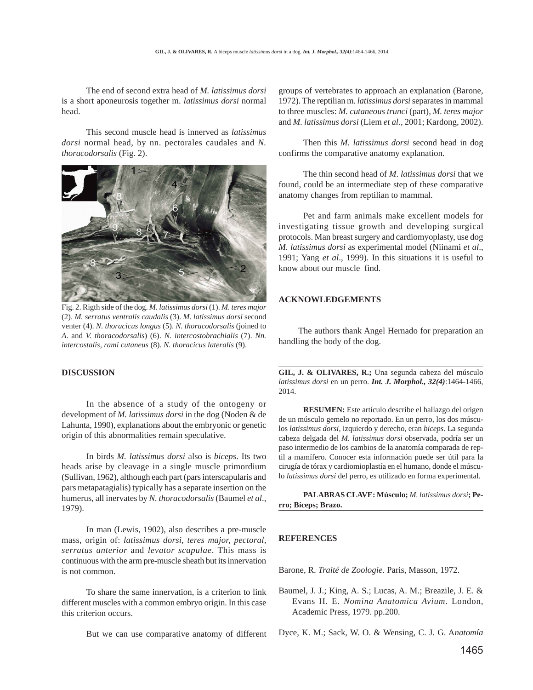The end of second extra head of *M. latissimus dorsi* is a short aponeurosis together m. *latissimus dorsi* normal head.

This second muscle head is innerved as *latissimus dorsi* normal head, by nn. pectorales caudales and *N. thoracodorsalis* (Fig. 2).



Fig. 2. Rigth side of the dog. *M. latissimus dorsi* (1). *M. teres major* (2). *M. serratus ventralis caudalis* (3). *M. latissimus dorsi* second venter (4). *N. thoracicus longus* (5). *N. thoracodorsalis* (joined to *A*. and *V. thoracodorsalis*) (6). *N. intercostobrachialis* (7). *Nn. intercostalis, rami cutaneus* (8). *N. thoracicus lateralis* (9).

# **DISCUSSION**

In the absence of a study of the ontogeny or development of *M. latissimus dorsi* in the dog (Noden & de Lahunta, 1990), explanations about the embryonic or genetic origin of this abnormalities remain speculative.

In birds *M. latissimus dorsi* also is *biceps*. Its two heads arise by cleavage in a single muscle primordium (Sullivan, 1962), although each part (pars interscapularis and pars metapatagialis) typically has a separate insertion on the humerus, all inervates by *N. thoracodorsalis* (Baumel *et al*., 1979).

In man (Lewis, 1902), also describes a pre-muscle mass, origin of: *latissimus dorsi*, *teres major, pectoral, serratus anterior* and *levator scapulae*. This mass is continuous with the arm pre-muscle sheath but its innervation is not common.

To share the same innervation, is a criterion to link different muscles with a common embryo origin. In this case this criterion occurs.

But we can use comparative anatomy of different

groups of vertebrates to approach an explanation (Barone, 1972). The reptilian m. *latissimus dorsi* separates in mammal to three muscles: *M. cutaneous trunci* (part), *M. teres major* and *M. latissimus dorsi* (Liem *et al*., 2001; Kardong, 2002).

Then this *M. latissimus dorsi* second head in dog confirms the comparative anatomy explanation.

The thin second head of *M*. *latissimus dorsi* that we found, could be an intermediate step of these comparative anatomy changes from reptilian to mammal.

Pet and farm animals make excellent models for investigating tissue growth and developing surgical protocols. Man breast surgery and cardiomyoplasty, use dog *M. latissimus dorsi* as experimental model (Niinami *et al*., 1991; Yang *et al*., 1999). In this situations it is useful to know about our muscle find.

# **ACKNOWLEDGEMENTS**

 The authors thank Angel Hernado for preparation an handling the body of the dog.

**GIL, J. & OLIVARES, R.;** Una segunda cabeza del músculo *latissimus dorsi* en un perro. *Int. J. Morphol., 32(4)*:1464-1466, 2014.

**RESUMEN:** Este artículo describe el hallazgo del origen de un músculo gemelo no reportado. En un perro, los dos músculos *latissimus dorsi*, izquierdo y derecho, eran *biceps*. La segunda cabeza delgada del *M. latissimus dorsi* observada, podría ser un paso intermedio de los cambios de la anatomía comparada de reptil a mamífero. Conocer esta información puede ser útil para la cirugía de tórax y cardiomioplastía en el humano, donde el músculo *latissimus dorsi* del perro, es utilizado en forma experimental.

**PALABRAS CLAVE: Músculo;** *M. latissimus dorsi***; Perro; Bíceps; Brazo.**

### **REFERENCES**

Barone, R. *Traité de Zoologie*. Paris, Masson, 1972.

Baumel, J. J.; King, A. S.; Lucas, A. M.; Breazile, J. E. & Evans H. E. *Nomina Anatomica Avium*. London, Academic Press, 1979. pp.200.

Dyce, K. M.; Sack, W. O. & Wensing, C. J. G. A*natomía*